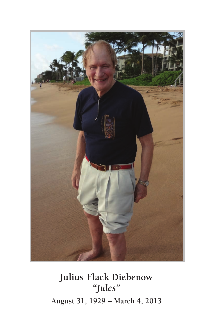

## **Julius Flack Diebenow** *"Jules"* **August 31, 1929 – March 4, 2013**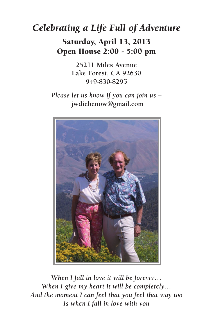## *Celebrating a Life Full of Adventure*

Saturday, April 13, 2013 Open House 2:00 - 5:00 pm

> **25211 Miles Avenue Lake Forest, CA 92630 949-830-8295**

*Please let us know if you can join us –* **jwdiebenow@gmail.com**



*When I fall in love it will be forever… When I give my heart it will be completely… And the moment I can feel that you feel that way too Is when I fall in love with you*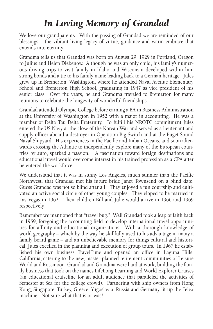## *In Loving Memory of Grandad*

We love our grandparents. With the passing of Grandad we are reminded of our blessings – the vibrant living legacy of virtue, guidance and warm embrace that extends into eternity.

Grandma tells us that Grandad was born on August 29, 1929 in Portland, Oregon to Julius and Helen Diebenow. Although he was an only child, his family's numerous driving trips to visit family in Idaho and Wisconsin developed within him strong bonds and a tie to his family name leading back to a German heritage. Jules grew up in Bremerton, Washington, where he attended Naval Avenue Elementary School and Bremerton High School, graduating in 1947 as vice president of his senior class. Over the years, he and Grandma traveled to Bremerton for many reunions to celebrate the longevity of wonderful friendships.

Grandad attended Olympic College before earning a BA in Business Administration at the University of Washington in 1952 with a major in accounting. He was a member of Delta Tau Delta Fraternity. To fulfill his NROTC commitment Jules entered the US Navy at the close of the Korean War and served as a lieutenant and supply officer aboard a destroyer in Operation Big Switch and at the Puget Sound Naval Shipyard. His experiences in the Pacific and Indian Oceans, and soon afterwards crossing the Atlantic to independently explore many of the European countries by auto, sparked a passion. A fascination toward foreign destinations and educational travel would overcome interest in his trained profession as a CPA after he entered the workforce.

We understand that it was in sunny Los Angeles, much sunnier than the Pacific Northwest, that Grandad met his future bride Janet Townsend on a blind date. Guess Grandad was not so blind after all! They enjoyed a fun courtship and cultivated an active social circle of other young couples. They eloped to be married in Las Vegas in 1962. Their children Bill and Julie would arrive in 1966 and 1969 respectively.

Remember we mentioned that "travel bug." Well Grandad took a leap of faith back in 1959, foregoing the accounting field to develop international travel opportunities for affinity and educational organizations. With a thorough knowledge of world geography – which by the way he skillfully used to his advantage in many a family board game – and an unbelievable memory for things cultural and historical, Jules excelled in the planning and execution of group tours. In 1967 he established his own business TravelTime and opened an office in Laguna Hills, California, catering to the new, master-planned retirement communities of Leisure World and Rossmoor. Grandad and Grandma were hard at work, building the family business that took on the names LifeLong Learning and World Explorer Cruises (an educational cruiseline for an adult audience that paralleled the activities of Semester at Sea for the college crowd). Partnering with ship owners from Hong Kong, Singapore, Turkey, Greece, Yugoslavia, Russia and Germany lit up the Telex machine. Not sure what that is or was!